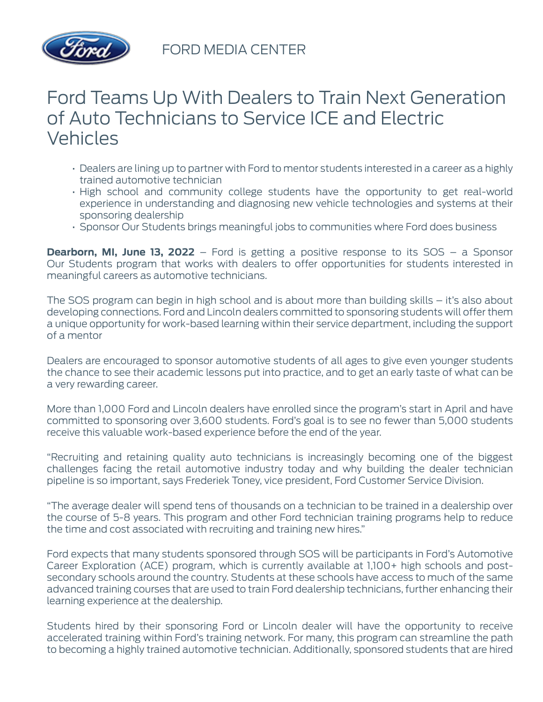

FORD MEDIA CENTER

## Ford Teams Up With Dealers to Train Next Generation of Auto Technicians to Service ICE and Electric Vehicles

- Dealers are lining up to partner with Ford to mentor students interested in a career as a highly trained automotive technician
- High school and community college students have the opportunity to get real-world experience in understanding and diagnosing new vehicle technologies and systems at their sponsoring dealership
- Sponsor Our Students brings meaningful jobs to communities where Ford does business

**Dearborn, MI, June 13, 2022** – Ford is getting a positive response to its SOS – a Sponsor Our Students program that works with dealers to offer opportunities for students interested in meaningful careers as automotive technicians.

The SOS program can begin in high school and is about more than building skills – it's also about developing connections. Ford and Lincoln dealers committed to sponsoring students will offer them a unique opportunity for work-based learning within their service department, including the support of a mentor

Dealers are encouraged to sponsor automotive students of all ages to give even younger students the chance to see their academic lessons put into practice, and to get an early taste of what can be a very rewarding career.

More than 1,000 Ford and Lincoln dealers have enrolled since the program's start in April and have committed to sponsoring over 3,600 students. Ford's goal is to see no fewer than 5,000 students receive this valuable work-based experience before the end of the year.

"Recruiting and retaining quality auto technicians is increasingly becoming one of the biggest challenges facing the retail automotive industry today and why building the dealer technician pipeline is so important, says Frederiek Toney, vice president, Ford Customer Service Division.

"The average dealer will spend tens of thousands on a technician to be trained in a dealership over the course of 5-8 years. This program and other Ford technician training programs help to reduce the time and cost associated with recruiting and training new hires."

Ford expects that many students sponsored through SOS will be participants in Ford's Automotive Career Exploration (ACE) program, which is currently available at 1,100+ high schools and postsecondary schools around the country. Students at these schools have access to much of the same advanced training courses that are used to train Ford dealership technicians, further enhancing their learning experience at the dealership.

Students hired by their sponsoring Ford or Lincoln dealer will have the opportunity to receive accelerated training within Ford's training network. For many, this program can streamline the path to becoming a highly trained automotive technician. Additionally, sponsored students that are hired